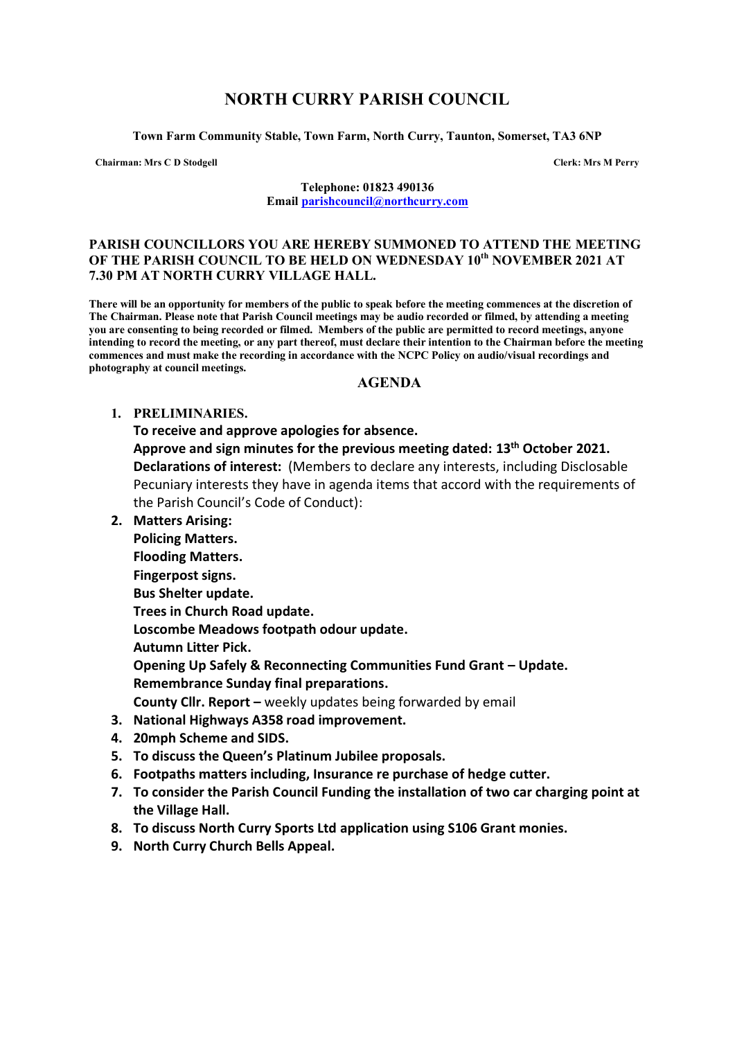# **NORTH CURRY PARISH COUNCIL**

**Town Farm Community Stable, Town Farm, North Curry, Taunton, Somerset, TA3 6NP**

**Chairman: Mrs C D Stodgell Clerk: Mrs M Perry**

**Telephone: 01823 490136 Email [parishcouncil@northcurry.com](mailto:parishcouncil@northcurry.com)**

#### **PARISH COUNCILLORS YOU ARE HEREBY SUMMONED TO ATTEND THE MEETING OF THE PARISH COUNCIL TO BE HELD ON WEDNESDAY 10th NOVEMBER 2021 AT 7.30 PM AT NORTH CURRY VILLAGE HALL.**

**There will be an opportunity for members of the public to speak before the meeting commences at the discretion of The Chairman. Please note that Parish Council meetings may be audio recorded or filmed, by attending a meeting you are consenting to being recorded or filmed. Members of the public are permitted to record meetings, anyone intending to record the meeting, or any part thereof, must declare their intention to the Chairman before the meeting commences and must make the recording in accordance with the NCPC Policy on audio/visual recordings and photography at council meetings.** 

#### **AGENDA**

#### **1. PRELIMINARIES.**

**To receive and approve apologies for absence.**

**Approve and sign minutes for the previous meeting dated: 13th October 2021. Declarations of interest:** (Members to declare any interests, including Disclosable Pecuniary interests they have in agenda items that accord with the requirements of the Parish Council's Code of Conduct):

**2. Matters Arising:** 

**Policing Matters.**

**Flooding Matters. Fingerpost signs.**

**Bus Shelter update.**

**Trees in Church Road update.**

**Loscombe Meadows footpath odour update.**

**Autumn Litter Pick.**

**Opening Up Safely & Reconnecting Communities Fund Grant – Update. Remembrance Sunday final preparations.**

**County Cllr. Report –** weekly updates being forwarded by email

- **3. National Highways A358 road improvement.**
- **4. 20mph Scheme and SIDS.**
- **5. To discuss the Queen's Platinum Jubilee proposals.**
- **6. Footpaths matters including, Insurance re purchase of hedge cutter.**
- **7. To consider the Parish Council Funding the installation of two car charging point at the Village Hall.**
- **8. To discuss North Curry Sports Ltd application using S106 Grant monies.**
- **9. North Curry Church Bells Appeal.**